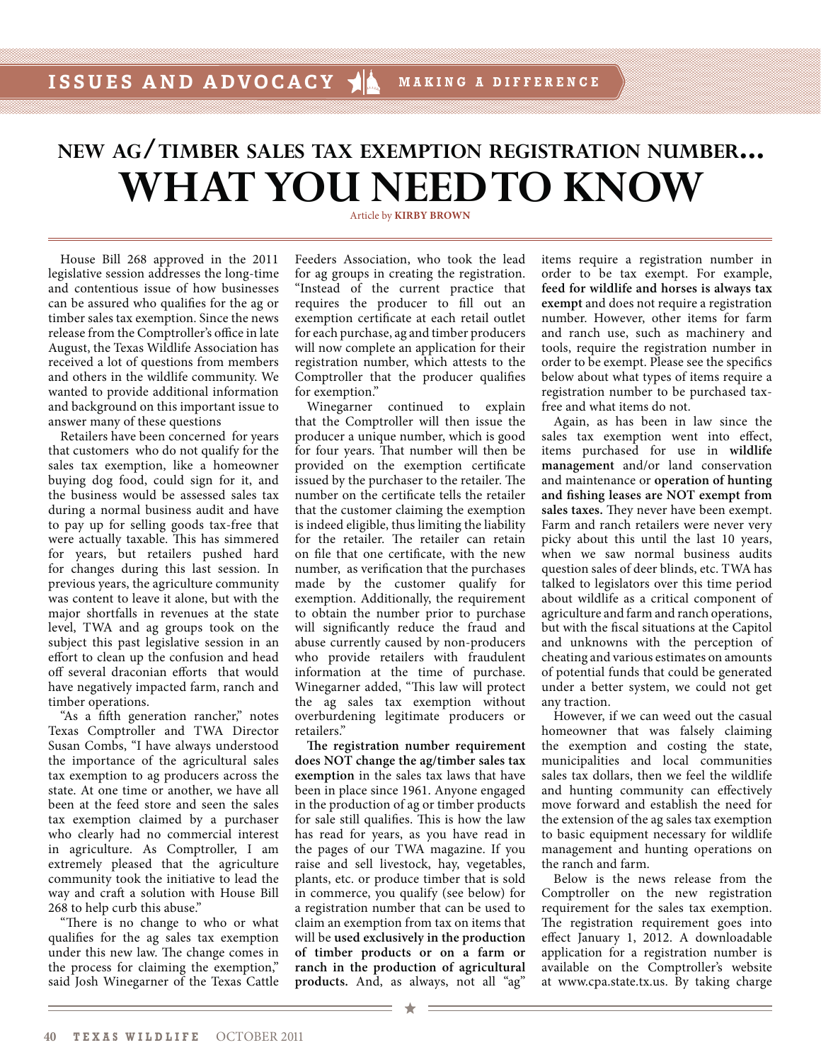# NEW AG/TIMBER SALES TAX EXEMPTION REGISTRATION NUMBER... **WHAT YOU NEED TO KNOW**

House Bill 268 approved in the 2011 legislative session addresses the long-time and contentious issue of how businesses can be assured who qualifies for the ag or timber sales tax exemption. Since the news release from the Comptroller's office in late August, the Texas Wildlife Association has received a lot of questions from members and others in the wildlife community. We wanted to provide additional information and background on this important issue to answer many of these questions

Retailers have been concerned for years that customers who do not qualify for the sales tax exemption, like a homeowner buying dog food, could sign for it, and the business would be assessed sales tax during a normal business audit and have to pay up for selling goods tax-free that were actually taxable. This has simmered for years, but retailers pushed hard for changes during this last session. In previous years, the agriculture community was content to leave it alone, but with the major shortfalls in revenues at the state level, TWA and ag groups took on the subject this past legislative session in an effort to clean up the confusion and head off several draconian efforts that would have negatively impacted farm, ranch and timber operations.

"As a fifth generation rancher," notes Texas Comptroller and TWA Director Susan Combs, "I have always understood the importance of the agricultural sales tax exemption to ag producers across the state. At one time or another, we have all been at the feed store and seen the sales tax exemption claimed by a purchaser who clearly had no commercial interest in agriculture. As Comptroller, I am extremely pleased that the agriculture community took the initiative to lead the way and craft a solution with House Bill 268 to help curb this abuse."

"There is no change to who or what qualifies for the ag sales tax exemption under this new law. The change comes in the process for claiming the exemption," said Josh Winegarner of the Texas Cattle

## Article by **KIRBY BROWN**

Feeders Association, who took the lead for ag groups in creating the registration. "Instead of the current practice that requires the producer to fill out an exemption certificate at each retail outlet for each purchase, ag and timber producers will now complete an application for their registration number, which attests to the Comptroller that the producer qualifies for exemption."

Winegarner continued to explain that the Comptroller will then issue the producer a unique number, which is good for four years. That number will then be provided on the exemption certificate issued by the purchaser to the retailer. The number on the certificate tells the retailer that the customer claiming the exemption is indeed eligible, thus limiting the liability for the retailer. The retailer can retain on file that one certificate, with the new number, as verification that the purchases made by the customer qualify for exemption. Additionally, the requirement to obtain the number prior to purchase will significantly reduce the fraud and abuse currently caused by non-producers who provide retailers with fraudulent information at the time of purchase. Winegarner added, "This law will protect the ag sales tax exemption without overburdening legitimate producers or retailers."

**The registration number requirement does NOT change the ag/timber sales tax exemption** in the sales tax laws that have been in place since 1961. Anyone engaged in the production of ag or timber products for sale still qualifies. This is how the law has read for years, as you have read in the pages of our TWA magazine. If you raise and sell livestock, hay, vegetables, plants, etc. or produce timber that is sold in commerce, you qualify (see below) for a registration number that can be used to claim an exemption from tax on items that will be **used exclusively in the production of timber products or on a farm or ranch in the production of agricultural products.** And, as always, not all "ag"

items require a registration number in order to be tax exempt. For example, **feed for wildlife and horses is always tax exempt** and does not require a registration number. However, other items for farm and ranch use, such as machinery and tools, require the registration number in order to be exempt. Please see the specifics below about what types of items require a registration number to be purchased taxfree and what items do not.

Again, as has been in law since the sales tax exemption went into effect, items purchased for use in **wildlife management** and/or land conservation and maintenance or **operation of hunting and fishing leases are NOT exempt from sales taxes.** They never have been exempt. Farm and ranch retailers were never very picky about this until the last 10 years, when we saw normal business audits question sales of deer blinds, etc. TWA has talked to legislators over this time period about wildlife as a critical component of agriculture and farm and ranch operations, but with the fiscal situations at the Capitol and unknowns with the perception of cheating and various estimates on amounts of potential funds that could be generated under a better system, we could not get any traction.

However, if we can weed out the casual homeowner that was falsely claiming the exemption and costing the state, municipalities and local communities sales tax dollars, then we feel the wildlife and hunting community can effectively move forward and establish the need for the extension of the ag sales tax exemption to basic equipment necessary for wildlife management and hunting operations on the ranch and farm.

Below is the news release from the Comptroller on the new registration requirement for the sales tax exemption. The registration requirement goes into effect January 1, 2012. A downloadable application for a registration number is available on the Comptroller's website at www.cpa.state.tx.us. By taking charge